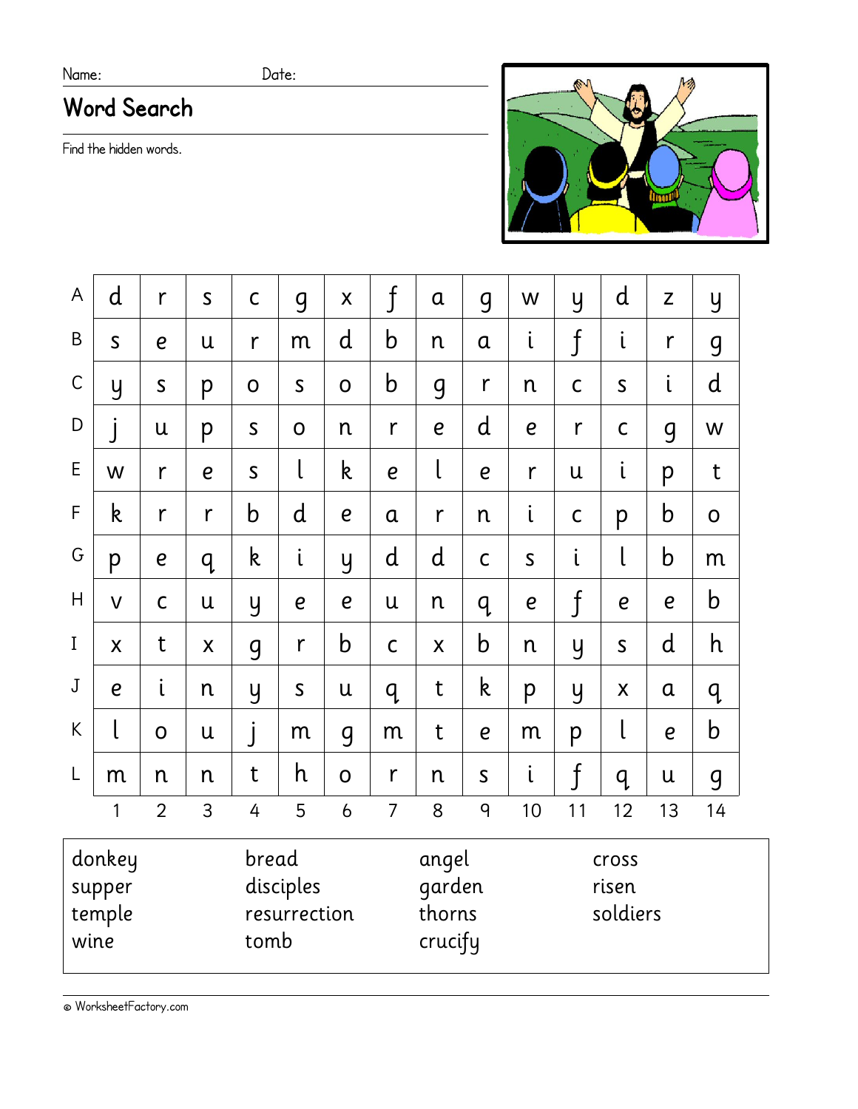### Name: Date:

# **Word Search**

Find the hidden words.



| A            | d                          | r                | $\mathsf{S}$                               | $\mathsf C$ | <b>g</b>         | $\boldsymbol{\mathsf{X}}$ | $\mathfrak f$    | $\alpha$                                                                        | 9                | W                | y                         | d                                                                                         | Z                | y           |  |  |
|--------------|----------------------------|------------------|--------------------------------------------|-------------|------------------|---------------------------|------------------|---------------------------------------------------------------------------------|------------------|------------------|---------------------------|-------------------------------------------------------------------------------------------|------------------|-------------|--|--|
| B            | $\mathsf S$                | $\boldsymbol{e}$ | U                                          | r           | m                | d                         | $\mathsf b$      | n                                                                               | $\alpha$         | $\mathfrak{i}$   | $\overline{\mathfrak{f}}$ | i                                                                                         | $\mathsf{r}$     | 9           |  |  |
| $\mathsf C$  | y                          | $\mathsf{S}$     | p                                          | $\mathbf 0$ | $\mathsf{S}$     | $\overline{O}$            | $\mathsf b$      | 9                                                                               | r                | n                | $\mathsf{C}$              | $\mathsf{S}$                                                                              | i                | d           |  |  |
| D            | j                          | $\mathsf{u}$     | p                                          | $\mathsf S$ | $\mathsf{O}$     | n                         | r                | $\boldsymbol{e}$                                                                | d                | $\boldsymbol{e}$ | r                         | $\mathsf C$                                                                               | <b>g</b>         | W           |  |  |
| E            | W                          | r                | $\boldsymbol{e}$                           | $\mathsf S$ | l                | $\mathsf k$               | $\boldsymbol{e}$ | $\mathsf{L}% _{0}\left( \mathsf{L}_{0}\right) ^{T}\left( \mathsf{L}_{0}\right)$ | $\boldsymbol{e}$ | r                | U                         | $\mathfrak{i}$                                                                            | p                | t           |  |  |
| $\mathsf{F}$ | k                          | r                | r                                          | $\mathsf b$ | $\mathsf{d}$     | $\boldsymbol{e}$          | $\alpha$         | r                                                                               | n                | $\mathfrak{i}$   | $\mathsf{C}$              | p                                                                                         | $\mathsf b$      | $\mathbf 0$ |  |  |
| G            | p                          | $\boldsymbol{e}$ | q                                          | $\mathsf k$ | i                | y                         | d                | d                                                                               | $\mathsf{C}$     | $\mathsf{S}$     | $\mathfrak{i}$            | l                                                                                         | $\mathsf b$      | m           |  |  |
| H            | $\overline{\mathsf{V}}$    | $\mathsf{C}$     | U                                          | y           | $\boldsymbol{e}$ | $\boldsymbol{e}$          | $\mathsf{u}$     | n                                                                               | q                | $\boldsymbol{e}$ | $\boldsymbol{\mathit{f}}$ | $\boldsymbol{e}$                                                                          | $\boldsymbol{e}$ | $\mathbf b$ |  |  |
| $\rm I$      | X                          | t                | X                                          | 9           | r                | b                         | $\mathsf C$      | $\mathsf{X}$                                                                    | $\mathsf b$      | n                | y                         | $\mathsf S$                                                                               | $\mathsf{d}$     | h           |  |  |
| $\mathbf J$  | $\boldsymbol{e}$           | i                | n                                          | y           | $\mathsf S$      | U                         | q                | t                                                                               | k                | p                | y                         | X                                                                                         | $\alpha$         | q           |  |  |
| K            | $\mathsf{L}$               | $\overline{O}$   | u                                          | j           | m                | <b>g</b>                  | m                | t                                                                               | $\boldsymbol{e}$ | m                | p                         | $\mathsf{L}% _{0}\left( \mathcal{N}\right) \equiv\mathsf{L}_{0}\left( \mathcal{N}\right)$ | $\overline{e}$   | $\mathsf b$ |  |  |
| L            | m                          | n                | n                                          | t           | h                | $\mathbf 0$               | r                | n                                                                               | $\mathsf{S}$     | $\mathfrak{i}$   | $\mathbf{f}$              | q                                                                                         | $\mathsf{u}$     | 9           |  |  |
|              | 1                          | $\overline{2}$   | 3                                          | 4           | 5                | $\mathfrak b$             | $\overline{7}$   | 8                                                                               | 9                | 10               | 11                        | 12                                                                                        | 13               | 14          |  |  |
| wine         | donkey<br>supper<br>temple |                  | bread<br>disciples<br>resurrection<br>tomb |             |                  |                           |                  | angel<br>garden<br>thorns<br>crucify                                            |                  |                  |                           | cross<br>risen<br>soldiers                                                                |                  |             |  |  |

© WorksheetFactory.com